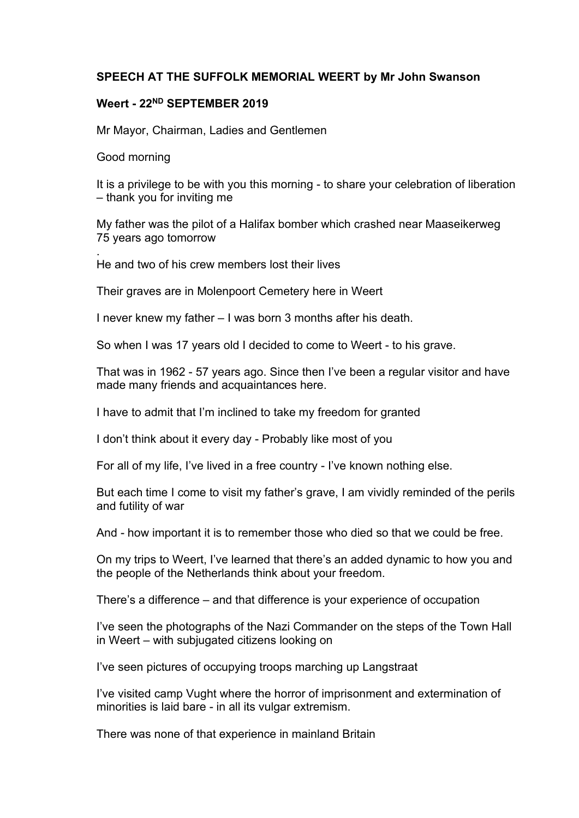## **SPEECH AT THE SUFFOLK MEMORIAL WEERT by Mr John Swanson**

## **Weert - 22ND SEPTEMBER 2019**

Mr Mayor, Chairman, Ladies and Gentlemen

Good morning

It is a privilege to be with you this morning - to share your celebration of liberation – thank you for inviting me

My father was the pilot of a Halifax bomber which crashed near Maaseikerweg 75 years ago tomorrow

. He and two of his crew members lost their lives

Their graves are in Molenpoort Cemetery here in Weert

I never knew my father – I was born 3 months after his death.

So when I was 17 years old I decided to come to Weert - to his grave.

That was in 1962 - 57 years ago. Since then I've been a regular visitor and have made many friends and acquaintances here.

I have to admit that I'm inclined to take my freedom for granted

I don't think about it every day - Probably like most of you

For all of my life, I've lived in a free country - I've known nothing else.

But each time I come to visit my father's grave, I am vividly reminded of the perils and futility of war

And - how important it is to remember those who died so that we could be free.

On my trips to Weert, I've learned that there's an added dynamic to how you and the people of the Netherlands think about your freedom.

There's a difference – and that difference is your experience of occupation

I've seen the photographs of the Nazi Commander on the steps of the Town Hall in Weert – with subjugated citizens looking on

I've seen pictures of occupying troops marching up Langstraat

I've visited camp Vught where the horror of imprisonment and extermination of minorities is laid bare - in all its vulgar extremism.

There was none of that experience in mainland Britain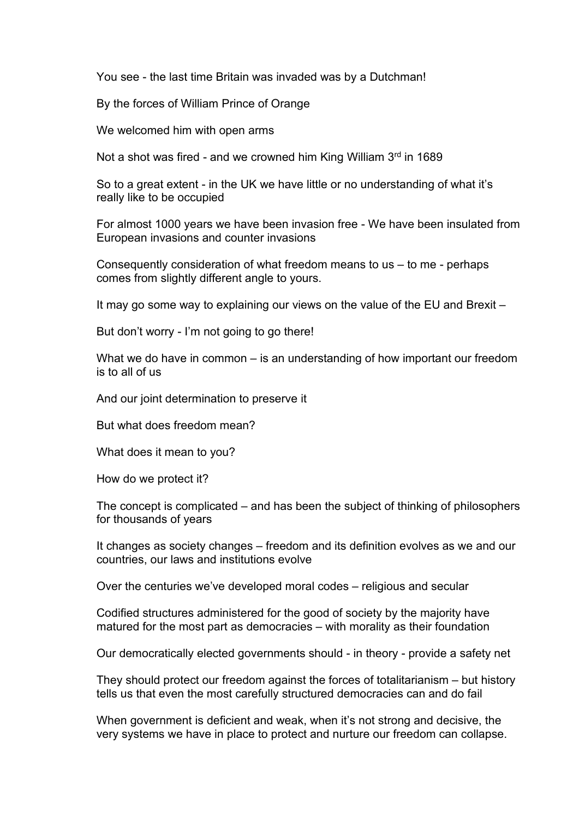You see - the last time Britain was invaded was by a Dutchman!

By the forces of William Prince of Orange

We welcomed him with open arms

Not a shot was fired - and we crowned him King William 3rd in 1689

So to a great extent - in the UK we have little or no understanding of what it's really like to be occupied

For almost 1000 years we have been invasion free - We have been insulated from European invasions and counter invasions

Consequently consideration of what freedom means to us – to me - perhaps comes from slightly different angle to yours.

It may go some way to explaining our views on the value of the EU and Brexit –

But don't worry - I'm not going to go there!

What we do have in common – is an understanding of how important our freedom is to all of us

And our joint determination to preserve it

But what does freedom mean?

What does it mean to you?

How do we protect it?

The concept is complicated – and has been the subject of thinking of philosophers for thousands of years

It changes as society changes – freedom and its definition evolves as we and our countries, our laws and institutions evolve

Over the centuries we've developed moral codes – religious and secular

Codified structures administered for the good of society by the majority have matured for the most part as democracies – with morality as their foundation

Our democratically elected governments should - in theory - provide a safety net

They should protect our freedom against the forces of totalitarianism – but history tells us that even the most carefully structured democracies can and do fail

When government is deficient and weak, when it's not strong and decisive, the very systems we have in place to protect and nurture our freedom can collapse.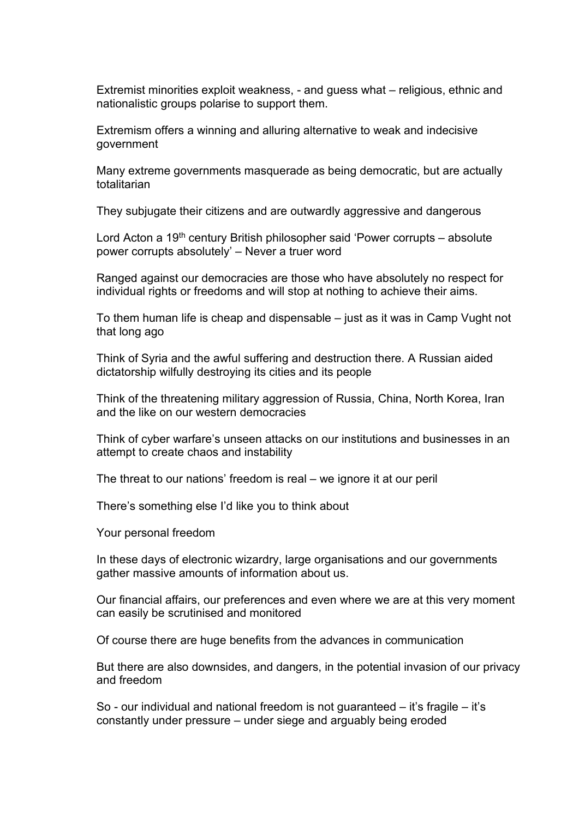Extremist minorities exploit weakness, - and guess what – religious, ethnic and nationalistic groups polarise to support them.

Extremism offers a winning and alluring alternative to weak and indecisive government

Many extreme governments masquerade as being democratic, but are actually totalitarian

They subjugate their citizens and are outwardly aggressive and dangerous

Lord Acton a 19<sup>th</sup> century British philosopher said 'Power corrupts – absolute power corrupts absolutely' – Never a truer word

Ranged against our democracies are those who have absolutely no respect for individual rights or freedoms and will stop at nothing to achieve their aims.

To them human life is cheap and dispensable – just as it was in Camp Vught not that long ago

Think of Syria and the awful suffering and destruction there. A Russian aided dictatorship wilfully destroying its cities and its people

Think of the threatening military aggression of Russia, China, North Korea, Iran and the like on our western democracies

Think of cyber warfare's unseen attacks on our institutions and businesses in an attempt to create chaos and instability

The threat to our nations' freedom is real – we ignore it at our peril

There's something else I'd like you to think about

Your personal freedom

In these days of electronic wizardry, large organisations and our governments gather massive amounts of information about us.

Our financial affairs, our preferences and even where we are at this very moment can easily be scrutinised and monitored

Of course there are huge benefits from the advances in communication

But there are also downsides, and dangers, in the potential invasion of our privacy and freedom

So - our individual and national freedom is not guaranteed – it's fragile – it's constantly under pressure – under siege and arguably being eroded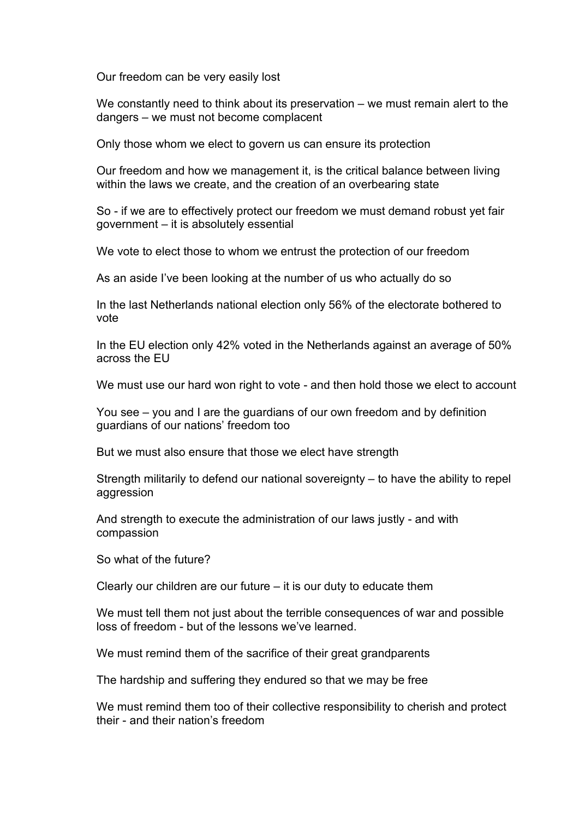Our freedom can be very easily lost

We constantly need to think about its preservation – we must remain alert to the dangers – we must not become complacent

Only those whom we elect to govern us can ensure its protection

Our freedom and how we management it, is the critical balance between living within the laws we create, and the creation of an overbearing state

So - if we are to effectively protect our freedom we must demand robust yet fair government – it is absolutely essential

We vote to elect those to whom we entrust the protection of our freedom

As an aside I've been looking at the number of us who actually do so

In the last Netherlands national election only 56% of the electorate bothered to vote

In the EU election only 42% voted in the Netherlands against an average of 50% across the EU

We must use our hard won right to vote - and then hold those we elect to account

You see – you and I are the guardians of our own freedom and by definition guardians of our nations' freedom too

But we must also ensure that those we elect have strength

Strength militarily to defend our national sovereignty – to have the ability to repel aggression

And strength to execute the administration of our laws justly - and with compassion

So what of the future?

Clearly our children are our future – it is our duty to educate them

We must tell them not just about the terrible consequences of war and possible loss of freedom - but of the lessons we've learned.

We must remind them of the sacrifice of their great grandparents

The hardship and suffering they endured so that we may be free

We must remind them too of their collective responsibility to cherish and protect their - and their nation's freedom